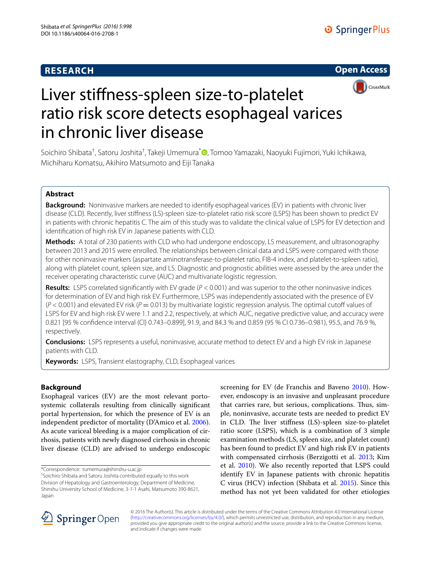# **RESEARCH**





# Liver stiffness-spleen size-to-platelet ratio risk score detects esophageal varices in chronic liver disease

Soichiro Shibata<sup>†</sup>[,](http://orcid.org/0000-0001-7985-919X) Satoru Joshita<sup>†</sup>, Takeji Umemura<sup>\*</sup>®, Tomoo Yamazaki, Naoyuki Fujimori, Yuki Ichikawa, Michiharu Komatsu, Akihiro Matsumoto and Eiji Tanaka

## **Abstract**

**Background:** Noninvasive markers are needed to identify esophageal varices (EV) in patients with chronic liver disease (CLD). Recently, liver stiffness (LS)-spleen size-to-platelet ratio risk score (LSPS) has been shown to predict EV in patients with chronic hepatitis C. The aim of this study was to validate the clinical value of LSPS for EV detection and identification of high risk EV in Japanese patients with CLD.

**Methods:** A total of 230 patients with CLD who had undergone endoscopy, LS measurement, and ultrasonography between 2013 and 2015 were enrolled. The relationships between clinical data and LSPS were compared with those for other noninvasive markers (aspartate aminotransferase-to-platelet ratio, FIB-4 index, and platelet-to-spleen ratio), along with platelet count, spleen size, and LS. Diagnostic and prognostic abilities were assessed by the area under the receiver operating characteristic curve (AUC) and multivariate logistic regression.

**Results:** LSPS correlated significantly with EV grade (*P* < 0.001) and was superior to the other noninvasive indices for determination of EV and high risk EV. Furthermore, LSPS was independently associated with the presence of EV  $(P < 0.001)$  and elevated EV risk  $(P = 0.013)$  by multivariate logistic regression analysis. The optimal cutoff values of LSPS for EV and high risk EV were 1.1 and 2.2, respectively, at which AUC, negative predictive value, and accuracy were 0.821 [95 % confidence interval (CI) 0.743–0.899], 91.9, and 84.3 % and 0.859 (95 % CI 0.736–0.981), 95.5, and 76.9 %, respectively.

**Conclusions:** LSPS represents a useful, noninvasive, accurate method to detect EV and a high EV risk in Japanese patients with CLD.

**Keywords:** LSPS, Transient elastography, CLD, Esophageal varices

## **Background**

Esophageal varices (EV) are the most relevant portosystemic collaterals resulting from clinically significant portal hypertension, for which the presence of EV is an independent predictor of mortality (D'Amico et al. [2006](#page-5-0)). As acute variceal bleeding is a major complication of cirrhosis, patients with newly diagnosed cirrhosis in chronic liver disease (CLD) are advised to undergo endoscopic

<sup>+</sup>Soichiro Shibata and Satoru Joshita contributed equally to this work Division of Hepatology and Gastroenterology, Department of Medicine, Shinshu University School of Medicine, 3-1-1 Asahi, Matsumoto 390-8621, Japan

screening for EV (de Franchis and Baveno [2010](#page-5-1)). However, endoscopy is an invasive and unpleasant procedure that carries rare, but serious, complications. Thus, simple, noninvasive, accurate tests are needed to predict EV in CLD. The liver stiffness (LS)-spleen size-to-platelet ratio score (LSPS), which is a combination of 3 simple examination methods (LS, spleen size, and platelet count) has been found to predict EV and high risk EV in patients with compensated cirrhosis (Berzigotti et al. [2013](#page-5-2); Kim et al. [2010\)](#page-5-3). We also recently reported that LSPS could identify EV in Japanese patients with chronic hepatitis C virus (HCV) infection (Shibata et al. [2015\)](#page-5-4). Since this method has not yet been validated for other etiologies



© 2016 The Author(s). This article is distributed under the terms of the Creative Commons Attribution 4.0 International License [\(http://creativecommons.org/licenses/by/4.0/\)](http://creativecommons.org/licenses/by/4.0/), which permits unrestricted use, distribution, and reproduction in any medium, provided you give appropriate credit to the original author(s) and the source, provide a link to the Creative Commons license, and indicate if changes were made.

<sup>\*</sup>Correspondence: tumemura@shinshu-u.ac.jp †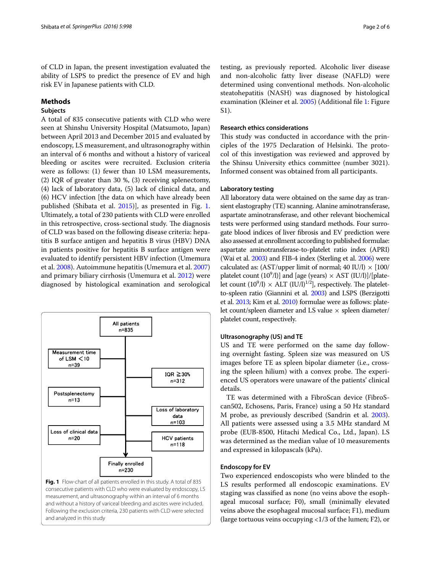of CLD in Japan, the present investigation evaluated the ability of LSPS to predict the presence of EV and high risk EV in Japanese patients with CLD.

## **Methods**

## **Subjects**

A total of 835 consecutive patients with CLD who were seen at Shinshu University Hospital (Matsumoto, Japan) between April 2013 and December 2015 and evaluated by endoscopy, LS measurement, and ultrasonography within an interval of 6 months and without a history of variceal bleeding or ascites were recruited. Exclusion criteria were as follows: (1) fewer than 10 LSM measurements, (2) IQR of greater than 30 %, (3) receiving splenectomy, (4) lack of laboratory data, (5) lack of clinical data, and (6) HCV infection [the data on which have already been published (Shibata et al. [2015](#page-5-4))], as presented in Fig. [1](#page-1-0). Ultimately, a total of 230 patients with CLD were enrolled in this retrospective, cross-sectional study. The diagnosis of CLD was based on the following disease criteria: hepatitis B surface antigen and hepatitis B virus (HBV) DNA in patients positive for hepatitis B surface antigen were evaluated to identify persistent HBV infection (Umemura et al. [2008\)](#page-5-5). Autoimmune hepatitis (Umemura et al. [2007](#page-5-6)) and primary biliary cirrhosis (Umemura et al. [2012](#page-5-7)) were diagnosed by histological examination and serological



<span id="page-1-0"></span>and analyzed in this study

testing, as previously reported. Alcoholic liver disease and non-alcoholic fatty liver disease (NAFLD) were determined using conventional methods. Non-alcoholic steatohepatitis (NASH) was diagnosed by histological examination (Kleiner et al. [2005](#page-5-8)) (Additional file [1](#page-5-9): Figure S1).

#### **Research ethics considerations**

This study was conducted in accordance with the principles of the 1975 Declaration of Helsinki. The protocol of this investigation was reviewed and approved by the Shinsu University ethics committee (number 3021). Informed consent was obtained from all participants.

## **Laboratory testing**

All laboratory data were obtained on the same day as transient elastography (TE) scanning. Alanine aminotransferase, aspartate aminotransferase, and other relevant biochemical tests were performed using standard methods. Four surrogate blood indices of liver fibrosis and EV prediction were also assessed at enrollment according to published formulae: aspartate aminotransferase-to-platelet ratio index (APRI) (Wai et al. [2003\)](#page-5-10) and FIB-4 index (Sterling et al. [2006](#page-5-11)) were calculated as:  $(AST/upper limit of normal; 40 IU/l) \times [100/l]$ platelet count  $(10^9/l)$ ] and [age (years)  $\times$  AST (IU/l)]/[platelet count  $(10^9/l) \times$  ALT  $(IU/l)^{1/2}$ , respectively. The plateletto-spleen ratio (Giannini et al. [2003\)](#page-5-12) and LSPS (Berzigotti et al. [2013;](#page-5-2) Kim et al. [2010\)](#page-5-3) formulae were as follows: platelet count/spleen diameter and LS value  $\times$  spleen diameter/ platelet count, respectively.

#### **Ultrasonography (US) and TE**

US and TE were performed on the same day following overnight fasting. Spleen size was measured on US images before TE as spleen bipolar diameter (i.e., crossing the spleen hilium) with a convex probe. The experienced US operators were unaware of the patients' clinical details.

TE was determined with a FibroScan device (FibroScan502, Echosens, Paris, France) using a 50 Hz standard M probe, as previously described (Sandrin et al. [2003](#page-5-13)). All patients were assessed using a 3.5 MHz standard M probe (EUB-8500, Hitachi Medical Co., Ltd., Japan). LS was determined as the median value of 10 measurements and expressed in kilopascals (kPa).

#### **Endoscopy for EV**

Two experienced endoscopists who were blinded to the LS results performed all endoscopic examinations. EV staging was classified as none (no veins above the esophageal mucosal surface; F0), small (minimally elevated veins above the esophageal mucosal surface; F1), medium (large tortuous veins occupying <1/3 of the lumen; F2), or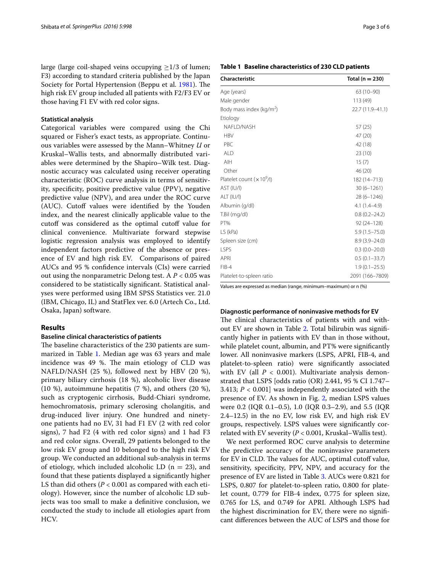large (large coil-shaped veins occupying  $\geq$ 1/3 of lumen; F3) according to standard criteria published by the Japan Society for Portal Hypertension (Beppu et al. [1981\)](#page-5-14). The high risk EV group included all patients with F2/F3 EV or those having F1 EV with red color signs.

#### **Statistical analysis**

Categorical variables were compared using the Chi squared or Fisher's exact tests, as appropriate. Continuous variables were assessed by the Mann–Whitney *U* or Kruskal–Wallis tests, and abnormally distributed variables were determined by the Shapiro–Wilk test. Diagnostic accuracy was calculated using receiver operating characteristic (ROC) curve analysis in terms of sensitivity, specificity, positive predictive value (PPV), negative predictive value (NPV), and area under the ROC curve (AUC). Cutoff values were identified by the Youden index, and the nearest clinically applicable value to the cutoff was considered as the optimal cutoff value for clinical convenience. Multivariate forward stepwise logistic regression analysis was employed to identify independent factors predictive of the absence or presence of EV and high risk EV. Comparisons of paired AUCs and 95 % confidence intervals (CIs) were carried out using the nonparametric Delong test. A *P* < 0.05 was considered to be statistically significant. Statistical analyses were performed using IBM SPSS Statistics ver. 21.0 (IBM, Chicago, IL) and StatFlex ver. 6.0 (Artech Co., Ltd. Osaka, Japan) software.

### **Results**

#### **Baseline clinical characteristics of patients**

The baseline characteristics of the 230 patients are summarized in Table [1](#page-2-0). Median age was 63 years and male incidence was 49 %. The main etiology of CLD was NAFLD/NASH (25 %), followed next by HBV (20 %), primary biliary cirrhosis (18 %), alcoholic liver disease  $(10 \%)$ , autoimmune hepatitis  $(7 \%)$ , and others  $(20 \%)$ , such as cryptogenic cirrhosis, Budd-Chiari syndrome, hemochromatosis, primary sclerosing cholangitis, and drug-induced liver injury. One hundred and ninetyone patients had no EV, 31 had F1 EV (2 with red color signs), 7 had F2 (4 with red color signs) and 1 had F3 and red color signs. Overall, 29 patients belonged to the low risk EV group and 10 belonged to the high risk EV group. We conducted an additional sub-analysis in terms of etiology, which included alcoholic LD  $(n = 23)$ , and found that these patients displayed a significantly higher LS than did others (*P* < 0.001 as compared with each etiology). However, since the number of alcoholic LD subjects was too small to make a definitive conclusion, we conducted the study to include all etiologies apart from HCV.

#### <span id="page-2-0"></span>**Table 1 Baseline characteristics of 230 CLD patients**

| Characteristic              | Total ( $n = 230$ ) |
|-----------------------------|---------------------|
| Age (years)                 | 63 (10-90)          |
| Male gender                 | 113 (49)            |
| Body mass index ( $kg/m2$ ) | 22.7 (11.9-41.1)    |
| Etiology                    |                     |
| NAFLD/NASH                  | 57(25)              |
| <b>HBV</b>                  | 47 (20)             |
| PBC                         | 42 (18)             |
| <b>ALD</b>                  | 23 (10)             |
| AIH                         | 15(7)               |
| Other                       | 46 (20)             |
| Platelet count $(x 10^9/l)$ | 182 (14-713)        |
| AST (IU/I)                  | $30(6 - 1261)$      |
| ALT (IU/I)                  | 28 (6-1246)         |
| Albumin (g/dl)              | $4.1(1.4 - 4.9)$    |
| T.Bil (mg/dl)               | $0.8(0.2 - 24.2)$   |
| PT%                         | $92(24 - 128)$      |
| LS (kPa)                    | $5.9(1.5 - 75.0)$   |
| Spleen size (cm)            | $8.9(3.9 - 24.0)$   |
| <b>LSPS</b>                 | $0.3(0.0-20.0)$     |
| <b>APRI</b>                 | $0.5(0.1 - 33.7)$   |
| $FIB-4$                     | $1.9(0.1 - 25.5)$   |
| Platelet-to-spleen ratio    | 2091 (166-7809)     |

Values are expressed as median (range, minimum–maximum) or n (%)

#### **Diagnostic performance of noninvasive methods for EV**

The clinical characteristics of patients with and without EV are shown in Table [2.](#page-3-0) Total bilirubin was significantly higher in patients with EV than in those without, while platelet count, albumin, and PT% were significantly lower. All noninvasive markers (LSPS, APRI, FIB-4, and platelet-to-spleen ratio) were significantly associated with EV (all  $P < 0.001$ ). Multivariate analysis demonstrated that LSPS [odds ratio (OR) 2.441, 95 % CI 1.747– 3.413; *P* < 0.001] was independently associated with the presence of EV. As shown in Fig. [2,](#page-3-1) median LSPS values were 0.2 (IQR 0.1–0.5), 1.0 (IQR 0.3–2.9), and 5.5 (IQR 2.4–12.5) in the no EV, low risk EV, and high risk EV groups, respectively. LSPS values were significantly correlated with EV severity  $(P < 0.001$ , Kruskal–Wallis test).

We next performed ROC curve analysis to determine the predictive accuracy of the noninvasive parameters for EV in CLD. The values for AUC, optimal cutoff value, sensitivity, specificity, PPV, NPV, and accuracy for the presence of EV are listed in Table [3.](#page-4-0) AUCs were 0.821 for LSPS, 0.807 for platelet-to-spleen ratio, 0.800 for platelet count, 0.779 for FIB-4 index, 0.775 for spleen size, 0.765 for LS, and 0.749 for APRI. Although LSPS had the highest discrimination for EV, there were no significant differences between the AUC of LSPS and those for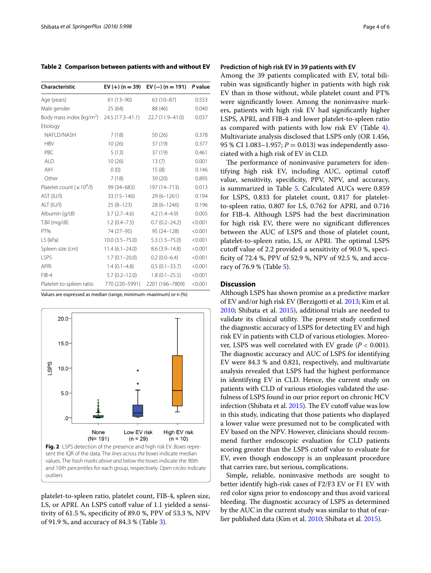<span id="page-3-0"></span>**Table 2 Comparison between patients with and without EV**

| <b>Characteristic</b>                | $EV (+) (n = 39)$  | EV $(-)$ (n = 191) P value |         |  |
|--------------------------------------|--------------------|----------------------------|---------|--|
| Age (years)                          | $61(13-90)$        | $63(10-87)$                | 0.553   |  |
| Male gender                          | 25(64)             | 88 (46)                    | 0.040   |  |
| Body mass index (kg/m <sup>2</sup> ) | 24.5 (17.3–41.1)   | 22.7 (11.9-41.0)           | 0.037   |  |
| Etiology                             |                    |                            |         |  |
| NAFLD/NASH                           | 7(18)              | 50(26)                     | 0.378   |  |
| <b>HBV</b>                           | 10(26)             | 37 (19)                    | 0.377   |  |
| PBC                                  | 5(13)              | 37 (19)                    | 0.461   |  |
| <b>ALD</b>                           | 10(26)             | 13(7)                      | 0.001   |  |
| AIH                                  | 0(0)               | 15(8)                      | 0.146   |  |
| Other                                | 7(18)              | 39(20)                     | 0.895   |  |
| Platelet count $(x 10^9/l)$          | 99 (34 - 683)      | 197 (14-713)               | 0.013   |  |
| AST (IU/I)                           | $33(15 - 146)$     | $29(6 - 1261)$             | 0.194   |  |
| ALT (IU/I)                           | $25(8-123)$        | $28(6 - 1246)$             | 0.196   |  |
| Albumin (g/dl)                       | $3.7(2.7-4.6)$     | $4.2(1.4-4.9)$             | 0.005   |  |
| T.Bil (mg/dl)                        | $1.2(0.4 - 7.5)$   | $0.7(0.2 - 24.2)$          | < 0.001 |  |
| PT%                                  | 74 (27-95)         | 95 (24-128)                | < 0.001 |  |
| LS (kPa)                             | $10.0(3.5 - 75.0)$ | $5.3(1.5 - 75.0)$          | < 0.001 |  |
| Spleen size (cm)                     | $11.4(6.1 - 24.0)$ | $8.6(3.9 - 14.8)$          | < 0.001 |  |
| <b>LSPS</b>                          | $1.7(0.1 - 20.0)$  | $0.2(0.0-6.4)$             | < 0.001 |  |
| <b>APRI</b>                          | $1.4(0.1-4.8)$     | $0.5(0.1 - 33.7)$          | < 0.001 |  |
| $FIB-4$                              | $5.7(0.2 - 12.0)$  | $1.8(0.1 - 25.5)$          | < 0.001 |  |
| Platelet-to-spleen ratio             | 770 (220-5991)     | 2201 (166-7809)            | < 0.001 |  |

Values are expressed as median (range, minimum–maximum) or n (%)



<span id="page-3-1"></span>platelet-to-spleen ratio, platelet count, FIB-4, spleen size, LS, or APRI. An LSPS cutoff value of 1.1 yielded a sensitivity of 61.5 %, specificity of 89.0 %, PPV of 53.3 %, NPV of 91.9 %, and accuracy of 84.3 % (Table [3](#page-4-0)).

### **Prediction of high risk EV in 39 patients with EV**

Among the 39 patients complicated with EV, total bilirubin was significantly higher in patients with high risk EV than in those without, while platelet count and PT% were significantly lower. Among the noninvasive markers, patients with high risk EV had significantly higher LSPS, APRI, and FIB-4 and lower platelet-to-spleen ratio as compared with patients with low risk EV (Table [4](#page-4-1)). Multivariate analysis disclosed that LSPS only (OR 1.456, 95 % CI 1.083-1.957;  $P = 0.013$  was independently associated with a high risk of EV in CLD.

The performance of noninvasive parameters for identifying high risk EV, including AUC, optimal cutoff value, sensitivity, specificity, PPV, NPV, and accuracy, is summarized in Table [5.](#page-4-2) Calculated AUCs were 0.859 for LSPS, 0.833 for platelet count, 0.817 for plateletto-spleen ratio, 0.807 for LS, 0.762 for APRI, and 0.716 for FIB-4. Although LSPS had the best discrimination for high risk EV, there were no significant differences between the AUC of LSPS and those of platelet count, platelet-to-spleen ratio, LS, or APRI. The optimal LSPS cutoff value of 2.2 provided a sensitivity of 90.0 %, specificity of 72.4 %, PPV of 52.9 %, NPV of 92.5 %, and accuracy of 76.9 % (Table [5](#page-4-2)).

## **Discussion**

Although LSPS has shown promise as a predictive marker of EV and/or high risk EV (Berzigotti et al. [2013;](#page-5-2) Kim et al. [2010](#page-5-3); Shibata et al. [2015\)](#page-5-4), additional trials are needed to validate its clinical utility. The present study confirmed the diagnostic accuracy of LSPS for detecting EV and high risk EV in patients with CLD of various etiologies. Moreover, LSPS was well correlated with EV grade (*P* < 0.001). The diagnostic accuracy and AUC of LSPS for identifying EV were 84.3 % and 0.821, respectively, and multivariate analysis revealed that LSPS had the highest performance in identifying EV in CLD. Hence, the current study on patients with CLD of various etiologies validated the usefulness of LSPS found in our prior report on chronic HCV infection (Shibata et al. [2015\)](#page-5-4). The EV cutoff value was low in this study, indicating that those patients who displayed a lower value were presumed not to be complicated with EV based on the NPV. However, clinicians should recommend further endoscopic evaluation for CLD patients scoring greater than the LSPS cutoff value to evaluate for EV, even though endoscopy is an unpleasant procedure that carries rare, but serious, complications.

Simple, reliable, noninvasive methods are sought to better identify high-risk cases of F2/F3 EV or F1 EV with red color signs prior to endoscopy and thus avoid variceal bleeding. The diagnostic accuracy of LSPS as determined by the AUC in the current study was similar to that of earlier published data (Kim et al. [2010](#page-5-3); Shibata et al. [2015\)](#page-5-4).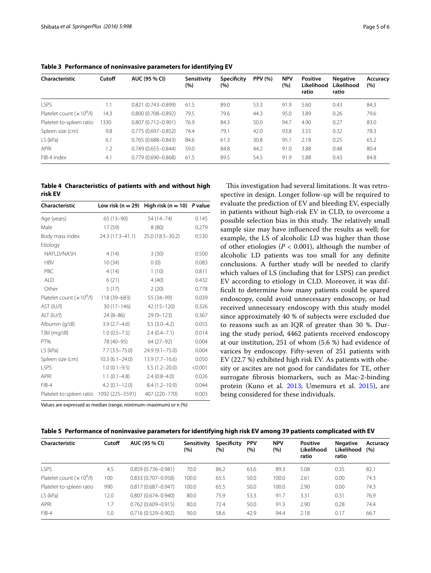| Characteristic             | Cutoff | AUC (95 % CI)          | Sensitivity<br>(%) | Specificity<br>(%) | <b>PPV (%)</b> | <b>NPV</b><br>(%) | <b>Positive</b><br>Likelihood<br>ratio | <b>Negative</b><br>Likelihood<br>ratio | Accuracy<br>(%) |
|----------------------------|--------|------------------------|--------------------|--------------------|----------------|-------------------|----------------------------------------|----------------------------------------|-----------------|
| <b>LSPS</b>                | 1.1    | $0.821(0.743 - 0.899)$ | 61.5               | 89.0               | 53.3           | 91.9              | 5.60                                   | 0.43                                   | 84.3            |
| Platelet count $(x 109/I)$ | 14.3   | $0.800(0.708 - 0.892)$ | 79.5               | 79.6               | 44.3           | 95.0              | 3.89                                   | 0.26                                   | 79.6            |
| Platelet-to-spleen ratio   | 1330   | $0.807(0.712 - 0.901)$ | 76.9               | 84.3               | 50.0           | 94.7              | 4.90                                   | 0.27                                   | 83.0            |
| Spleen size (cm)           | 9.8    | $0.775(0.697 - 0.852)$ | 74.4               | 79.1               | 42.0           | 93.8              | 3.55                                   | 0.32                                   | 78.3            |
| LS (kPa)                   | 6.1    | $0.765(0.688 - 0.843)$ | 84.6               | 61.3               | 30.8           | 95.1              | 2.18                                   | 0.25                                   | 65.2            |
| APRI                       | 1.2    | $0.749(0.655 - 0.844)$ | 59.0               | 84.8               | 44.2           | 91.0              | 3.88                                   | 0.48                                   | 80.4            |
| FIB-4 index                | 4.1    | $0.779(0.690 - 0.868)$ | 61.5               | 89.5               | 54.5           | 91.9              | 5.88                                   | 0.43                                   | 84.8            |

<span id="page-4-0"></span>**Table 3 Performance of noninvasive parameters for identifying EV**

<span id="page-4-1"></span>**Table 4 Characteristics of patients with and without high risk EV**

| Characteristic              |                    | Low risk (n = 29) High risk (n = 10) P value |         |
|-----------------------------|--------------------|----------------------------------------------|---------|
| Age (years)                 | 65 (13-90)         | 54 (14 - 74)                                 | 0.145   |
| Male                        | 17 (59)            | 8(80)                                        | 0.279   |
| Body mass index             | 24.3 (17.3-41.1)   | 25.0 (18.5 - 30.2)                           | 0.530   |
| Etiology                    |                    |                                              |         |
| NAFLD/NASH                  | 4(14)              | 3(30)                                        | 0.500   |
| <b>HBV</b>                  | 10(34)             | 0(0)                                         | 0.083   |
| PBC                         | 4(14)              | 1(10)                                        | 0.811   |
| <b>ALD</b>                  | 6(21)              | 4(40)                                        | 0.432   |
| Other                       | 5(17)              | 2(20)                                        | 0.778   |
| Platelet count $(x 10^9/l)$ | 118 (39 - 683)     | 55 (34-99)                                   | 0.039   |
| AST (IU/I)                  | $30(17-146)$       | 42 (15-120)                                  | 0.326   |
| ALT (IU/I)                  | $24(8-86)$         | $29(9 - 123)$                                | 0.367   |
| Albumin (g/dl)              | $3.9(2.7-4.6)$     | $3.5(3.0-4.2)$                               | 0.055   |
| T.Bil (mg/dl)               | $1.0(0.5 - 7.5)$   | $2.4(0.4 - 7.1)$                             | 0.014   |
| PT%                         | 78 (40-95)         | 64 (27-92)                                   | 0.004   |
| LS (kPa)                    | 7.7 (3.5–75.0)     | 24.9 (9.1-75.0)                              | 0.004   |
| Spleen size (cm)            | $10.3(6.1 - 24.0)$ | $13.9(7.7-16.6)$                             | 0.050   |
| <b>LSPS</b>                 | $1.0(0.1 - 9.5)$   | $5.5(1.2 - 20.0)$                            | < 0.001 |
| <b>APRI</b>                 | $1.1(0.1-4.8)$     | $2.4(0.8-4.0)$                               | 0.026   |
| $FIB-4$                     | $4.2(0.1 - 12.0)$  | $8.4(1.2 - 10.9)$                            | 0.044   |
| Platelet-to-spleen ratio    | 1092 (225-5591)    | 407 (220-770)                                | 0.003   |

Values are expressed as median (range, minimum–maximum) or n (%)

This investigation had several limitations. It was retrospective in design. Longer follow-up will be required to evaluate the prediction of EV and bleeding EV, especially in patients without high-risk EV in CLD, to overcome a possible selection bias in this study. The relatively small sample size may have influenced the results as well; for example, the LS of alcoholic LD was higher than those of other etiologies ( $P < 0.001$ ), although the number of alcoholic LD patients was too small for any definite conclusions. A further study will be needed to clarify which values of LS (including that for LSPS) can predict EV according to etiology in CLD. Moreover, it was difficult to determine how many patients could be spared endoscopy, could avoid unnecessary endoscopy, or had received unnecessary endoscopy with this study model since approximately 40 % of subjects were excluded due to reasons such as an IQR of greater than 30 %. During the study period, 4462 patients received endoscopy at our institution, 251 of whom (5.6 %) had evidence of varices by endoscopy. Fifty-seven of 251 patients with EV (22.7 %) exhibited high risk EV. As patients with obesity or ascites are not good for candidates for TE, other surrogate fibrosis biomarkers, such as Mac-2-binding protein (Kuno et al. [2013](#page-5-15); Umemura et al. [2015\)](#page-5-16), are being considered for these individuals.

<span id="page-4-2"></span>

|  | Table 5 Performance of noninvasive parameters for identifying high risk EV among 39 patients complicated with EV |  |  |  |  |
|--|------------------------------------------------------------------------------------------------------------------|--|--|--|--|
|--|------------------------------------------------------------------------------------------------------------------|--|--|--|--|

| Characteristic             | Cutoff | AUC (95 % CI)          | Sensitivity<br>(%) | Specificity<br>(%) | <b>PPV</b><br>(%) | <b>NPV</b><br>(%) | <b>Positive</b><br>Likelihood<br>ratio | <b>Negative</b><br>Likelihood<br>ratio | Accuracy<br>(%) |
|----------------------------|--------|------------------------|--------------------|--------------------|-------------------|-------------------|----------------------------------------|----------------------------------------|-----------------|
| <b>LSPS</b>                | 4.5    | $0.859(0.736 - 0.981)$ | 70.0               | 86.2               | 63.6              | 89.3              | 5.08                                   | 0.35                                   | 82.1            |
| Platelet count $(x 109/I)$ | 100    | $0.833(0.707 - 0.958)$ | 100.0              | 65.5               | 50.0              | 100.0             | 2.61                                   | 0.00                                   | 74.3            |
| Platelet-to-spleen ratio   | 990    | $0.817(0.687 - 0.947)$ | 100.0              | 65.5               | 50.0              | 100.0             | 2.90                                   | 0.00                                   | 74.3            |
| LS (kPa)                   | 12.0   | $0.807(0.674 - 0.940)$ | 80.0               | 75.9               | 53.3              | 91.7              | 3.31                                   | 0.31                                   | 76.9            |
| APRI                       | 1.7    | $0.762(0.609 - 0.915)$ | 80.0               | 72.4               | 50.0              | 91.3              | 2.90                                   | 0.28                                   | 74.4            |
| $FIB-4$                    | 5.0    | $0.716(0.529 - 0.902)$ | 90.0               | 58.6               | 42.9              | 94.4              | 2.18                                   | 0.17                                   | 66.7            |